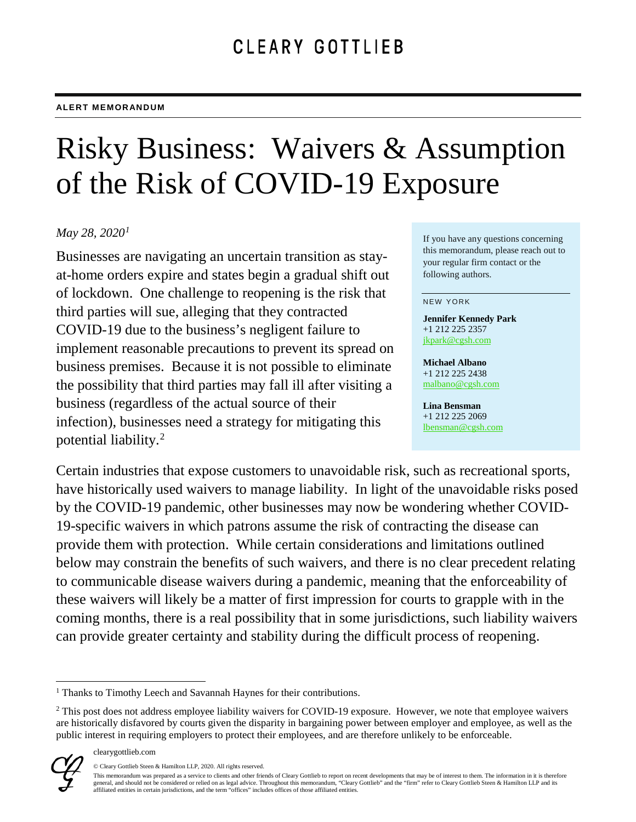# Risky Business: Waivers & Assumption of the Risk of COVID-19 Exposure

### *May 28, 2020[1](#page-0-0)*

Businesses are navigating an uncertain transition as stayat-home orders expire and states begin a gradual shift out of lockdown. One challenge to reopening is the risk that third parties will sue, alleging that they contracted COVID-19 due to the business's negligent failure to implement reasonable precautions to prevent its spread on business premises. Because it is not possible to eliminate the possibility that third parties may fall ill after visiting a business (regardless of the actual source of their infection), businesses need a strategy for mitigating this potential liability.[2](#page-0-1)

If you have any questions concerning this memorandum, please reach out to your regular firm contact or the following authors.

#### NEW YORK

**Jennifer Kennedy Park** +1 212 225 2357 [jkpark@cgsh.com](mailto:jkpark@cgsh.com)

**Michael Albano** +1 212 225 2438 [malbano@cgsh.com](mailto:malbano@cgsh.com)

**Lina Bensman** +1 212 225 2069 [lbensman@cgsh.com](mailto:malbano@cgsh.com)

Certain industries that expose customers to unavoidable risk, such as recreational sports, have historically used waivers to manage liability. In light of the unavoidable risks posed by the COVID-19 pandemic, other businesses may now be wondering whether COVID-19-specific waivers in which patrons assume the risk of contracting the disease can provide them with protection. While certain considerations and limitations outlined below may constrain the benefits of such waivers, and there is no clear precedent relating to communicable disease waivers during a pandemic, meaning that the enforceability of these waivers will likely be a matter of first impression for courts to grapple with in the coming months, there is a real possibility that in some jurisdictions, such liability waivers can provide greater certainty and stability during the difficult process of reopening.

<span id="page-0-1"></span><span id="page-0-0"></span><sup>&</sup>lt;sup>2</sup> This post does not address employee liability waivers for COVID-19 exposure. However, we note that employee waivers are historically disfavored by courts given the disparity in bargaining power between employer and employee, as well as the public interest in requiring employers to protect their employees, and are therefore unlikely to be enforceable.



<sup>&</sup>lt;sup>1</sup> Thanks to Timothy Leech and Savannah Haynes for their contributions.

<sup>©</sup> Cleary Gottlieb Steen & Hamilton LLP, 2020. All rights reserved.

This memorandum was prepared as a service to clients and other friends of Cleary Gottlieb to report on recent developments that may be of interest to them. The information in it is therefore general, and should not be considered or relied on as legal advice. Throughout this memorandum, "Cleary Gottlieb" and the "firm" refer to Cleary Gottlieb Steen & Hamilton LLP and its affiliated entities in certain jurisdictions, and the term "offices" includes offices of those affiliated entities.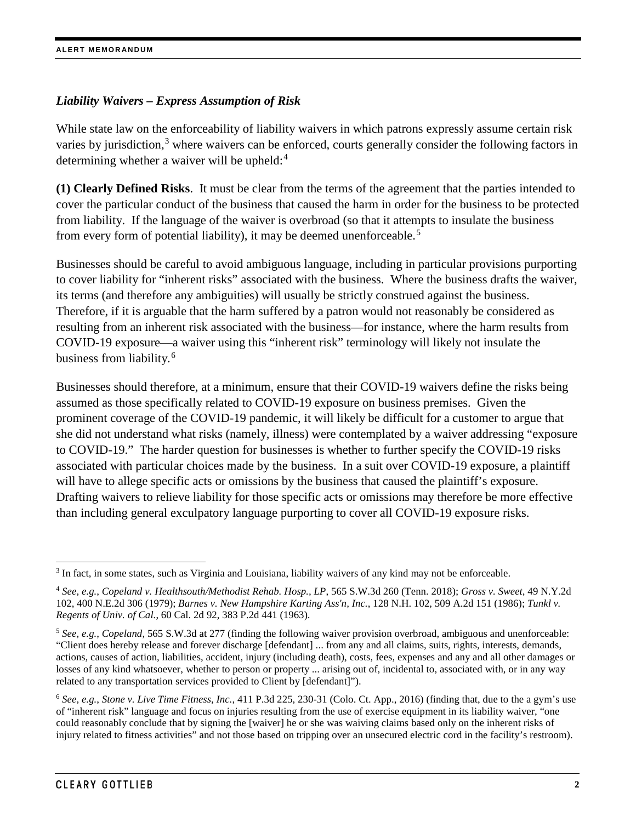### *Liability Waivers – Express Assumption of Risk*

While state law on the enforceability of liability waivers in which patrons expressly assume certain risk varies by jurisdiction,<sup>[3](#page-1-0)</sup> where waivers can be enforced, courts generally consider the following factors in determining whether a waiver will be upheld:<sup>[4](#page-1-1)</sup>

**(1) Clearly Defined Risks**. It must be clear from the terms of the agreement that the parties intended to cover the particular conduct of the business that caused the harm in order for the business to be protected from liability. If the language of the waiver is overbroad (so that it attempts to insulate the business from every form of potential liability), it may be deemed unenforceable.<sup>[5](#page-1-2)</sup>

Businesses should be careful to avoid ambiguous language, including in particular provisions purporting to cover liability for "inherent risks" associated with the business. Where the business drafts the waiver, its terms (and therefore any ambiguities) will usually be strictly construed against the business. Therefore, if it is arguable that the harm suffered by a patron would not reasonably be considered as resulting from an inherent risk associated with the business—for instance, where the harm results from COVID-19 exposure—a waiver using this "inherent risk" terminology will likely not insulate the business from liability.<sup>[6](#page-1-3)</sup>

Businesses should therefore, at a minimum, ensure that their COVID-19 waivers define the risks being assumed as those specifically related to COVID-19 exposure on business premises. Given the prominent coverage of the COVID-19 pandemic, it will likely be difficult for a customer to argue that she did not understand what risks (namely, illness) were contemplated by a waiver addressing "exposure to COVID-19." The harder question for businesses is whether to further specify the COVID-19 risks associated with particular choices made by the business. In a suit over COVID-19 exposure, a plaintiff will have to allege specific acts or omissions by the business that caused the plaintiff's exposure. Drafting waivers to relieve liability for those specific acts or omissions may therefore be more effective than including general exculpatory language purporting to cover all COVID-19 exposure risks.

<span id="page-1-0"></span><sup>&</sup>lt;sup>3</sup> In fact, in some states, such as Virginia and Louisiana, liability waivers of any kind may not be enforceable.

<span id="page-1-1"></span><sup>4</sup> *See, e.g.*, *Copeland v. Healthsouth/Methodist Rehab. Hosp., LP*, 565 S.W.3d 260 (Tenn. 2018); *Gross v. Sweet*, 49 N.Y.2d 102, 400 N.E.2d 306 (1979); *Barnes v. New Hampshire Karting Ass'n, Inc.*, 128 N.H. 102, 509 A.2d 151 (1986); *Tunkl v. Regents of Univ. of Cal.*, 60 Cal. 2d 92, 383 P.2d 441 (1963).

<span id="page-1-2"></span><sup>5</sup> *See, e.g.*, *Copeland*, 565 S.W.3d at 277 (finding the following waiver provision overbroad, ambiguous and unenforceable: "Client does hereby release and forever discharge [defendant] ... from any and all claims, suits, rights, interests, demands, actions, causes of action, liabilities, accident, injury (including death), costs, fees, expenses and any and all other damages or losses of any kind whatsoever, whether to person or property ... arising out of, incidental to, associated with, or in any way related to any transportation services provided to Client by [defendant]").

<span id="page-1-3"></span><sup>6</sup> *See, e.g.*, *Stone v. Live Time Fitness, Inc.*, 411 P.3d 225, 230-31 (Colo. Ct. App., 2016) (finding that, due to the a gym's use of "inherent risk" language and focus on injuries resulting from the use of exercise equipment in its liability waiver, "one could reasonably conclude that by signing the [waiver] he or she was waiving claims based only on the inherent risks of injury related to fitness activities" and not those based on tripping over an unsecured electric cord in the facility's restroom).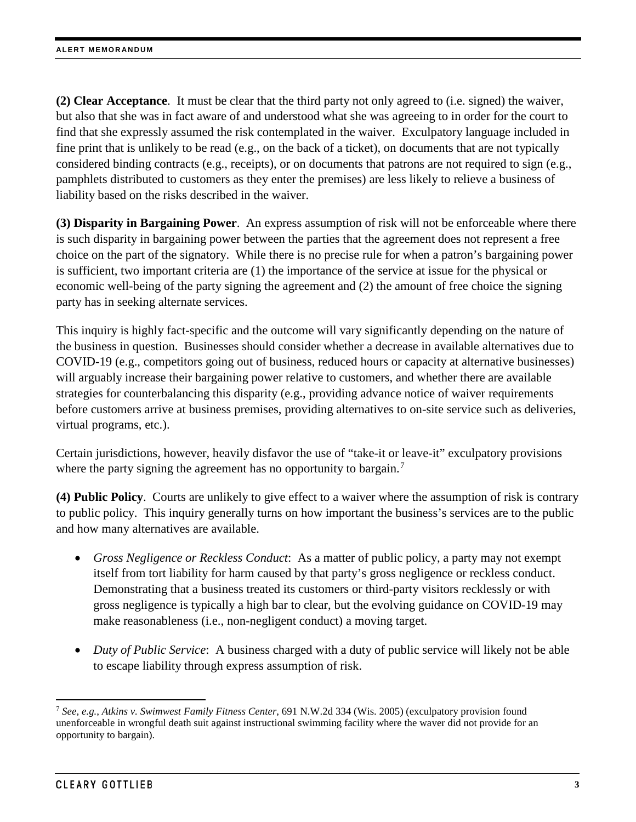**(2) Clear Acceptance**. It must be clear that the third party not only agreed to (i.e. signed) the waiver, but also that she was in fact aware of and understood what she was agreeing to in order for the court to find that she expressly assumed the risk contemplated in the waiver. Exculpatory language included in fine print that is unlikely to be read (e.g., on the back of a ticket), on documents that are not typically considered binding contracts (e.g., receipts), or on documents that patrons are not required to sign (e.g., pamphlets distributed to customers as they enter the premises) are less likely to relieve a business of liability based on the risks described in the waiver.

**(3) Disparity in Bargaining Power**. An express assumption of risk will not be enforceable where there is such disparity in bargaining power between the parties that the agreement does not represent a free choice on the part of the signatory. While there is no precise rule for when a patron's bargaining power is sufficient, two important criteria are (1) the importance of the service at issue for the physical or economic well-being of the party signing the agreement and (2) the amount of free choice the signing party has in seeking alternate services.

This inquiry is highly fact-specific and the outcome will vary significantly depending on the nature of the business in question. Businesses should consider whether a decrease in available alternatives due to COVID-19 (e.g., competitors going out of business, reduced hours or capacity at alternative businesses) will arguably increase their bargaining power relative to customers, and whether there are available strategies for counterbalancing this disparity (e.g., providing advance notice of waiver requirements before customers arrive at business premises, providing alternatives to on-site service such as deliveries, virtual programs, etc.).

Certain jurisdictions, however, heavily disfavor the use of "take-it or leave-it" exculpatory provisions where the party signing the agreement has no opportunity to bargain.<sup>[7](#page-2-0)</sup>

**(4) Public Policy**. Courts are unlikely to give effect to a waiver where the assumption of risk is contrary to public policy. This inquiry generally turns on how important the business's services are to the public and how many alternatives are available.

- *Gross Negligence or Reckless Conduct*: As a matter of public policy, a party may not exempt itself from tort liability for harm caused by that party's gross negligence or reckless conduct. Demonstrating that a business treated its customers or third-party visitors recklessly or with gross negligence is typically a high bar to clear, but the evolving guidance on COVID-19 may make reasonableness (i.e., non-negligent conduct) a moving target.
- *Duty of Public Service*: A business charged with a duty of public service will likely not be able to escape liability through express assumption of risk.

<span id="page-2-0"></span> <sup>7</sup> *See, e.g.*, *Atkins v. Swimwest Family Fitness Center*, 691 N.W.2d 334 (Wis. 2005) (exculpatory provision found unenforceable in wrongful death suit against instructional swimming facility where the waver did not provide for an opportunity to bargain).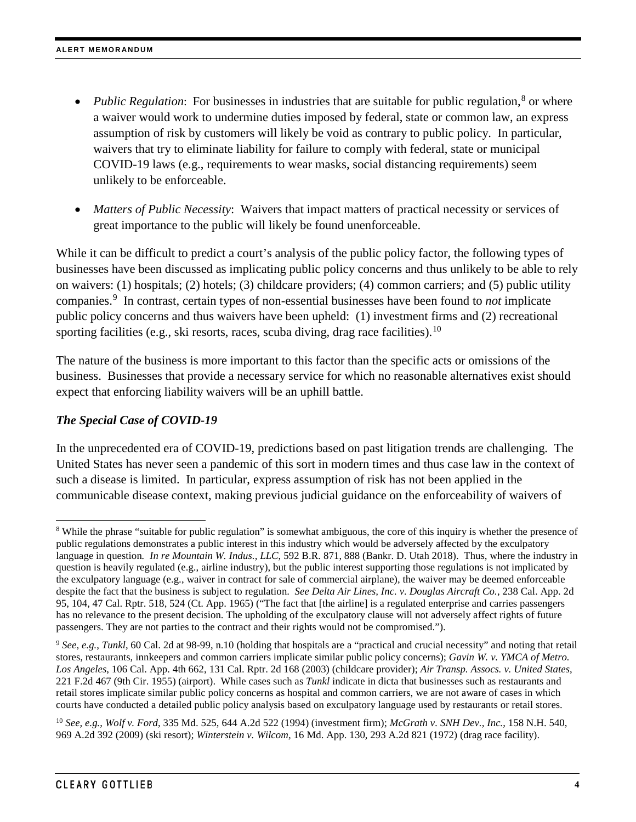- *Public Regulation*: For businesses in industries that are suitable for public regulation,<sup>[8](#page-3-0)</sup> or where a waiver would work to undermine duties imposed by federal, state or common law, an express assumption of risk by customers will likely be void as contrary to public policy. In particular, waivers that try to eliminate liability for failure to comply with federal, state or municipal COVID-19 laws (e.g., requirements to wear masks, social distancing requirements) seem unlikely to be enforceable.
- *Matters of Public Necessity*: Waivers that impact matters of practical necessity or services of great importance to the public will likely be found unenforceable.

While it can be difficult to predict a court's analysis of the public policy factor, the following types of businesses have been discussed as implicating public policy concerns and thus unlikely to be able to rely on waivers: (1) hospitals; (2) hotels; (3) childcare providers; (4) common carriers; and (5) public utility companies.[9](#page-3-1) In contrast, certain types of non-essential businesses have been found to *not* implicate public policy concerns and thus waivers have been upheld: (1) investment firms and (2) recreational sporting facilities (e.g., ski resorts, races, scuba diving, drag race facilities).<sup>[10](#page-3-2)</sup>

The nature of the business is more important to this factor than the specific acts or omissions of the business. Businesses that provide a necessary service for which no reasonable alternatives exist should expect that enforcing liability waivers will be an uphill battle.

## *The Special Case of COVID-19*

In the unprecedented era of COVID-19, predictions based on past litigation trends are challenging. The United States has never seen a pandemic of this sort in modern times and thus case law in the context of such a disease is limited. In particular, express assumption of risk has not been applied in the communicable disease context, making previous judicial guidance on the enforceability of waivers of

<span id="page-3-2"></span><sup>10</sup> *See, e.g.*, *Wolf v. Ford*, 335 Md. 525, 644 A.2d 522 (1994) (investment firm); *McGrath v. SNH Dev., Inc.*, 158 N.H. 540, 969 A.2d 392 (2009) (ski resort); *Winterstein v. Wilcom*, 16 Md. App. 130, 293 A.2d 821 (1972) (drag race facility).

<span id="page-3-0"></span><sup>&</sup>lt;sup>8</sup> While the phrase "suitable for public regulation" is somewhat ambiguous, the core of this inquiry is whether the presence of public regulations demonstrates a public interest in this industry which would be adversely affected by the exculpatory language in question*. In re Mountain W. Indus., LLC*, 592 B.R. 871, 888 (Bankr. D. Utah 2018). Thus, where the industry in question is heavily regulated (e.g., airline industry), but the public interest supporting those regulations is not implicated by the exculpatory language (e.g., waiver in contract for sale of commercial airplane), the waiver may be deemed enforceable despite the fact that the business is subject to regulation. *See Delta Air Lines, Inc. v. Douglas Aircraft Co.*, 238 Cal. App. 2d 95, 104, 47 Cal. Rptr. 518, 524 (Ct. App. 1965) ("The fact that [the airline] is a regulated enterprise and carries passengers has no relevance to the present decision. The upholding of the exculpatory clause will not adversely affect rights of future passengers. They are not parties to the contract and their rights would not be compromised.").

<span id="page-3-1"></span><sup>9</sup> *See, e.g.*, *Tunkl*, 60 Cal. 2d at 98-99, n.10 (holding that hospitals are a "practical and crucial necessity" and noting that retail stores, restaurants, innkeepers and common carriers implicate similar public policy concerns); *Gavin W. v. YMCA of Metro. Los Angeles*, 106 Cal. App. 4th 662, 131 Cal. Rptr. 2d 168 (2003) (childcare provider); *Air Transp. Assocs. v. United States*, 221 F.2d 467 (9th Cir. 1955) (airport). While cases such as *Tunkl* indicate in dicta that businesses such as restaurants and retail stores implicate similar public policy concerns as hospital and common carriers, we are not aware of cases in which courts have conducted a detailed public policy analysis based on exculpatory language used by restaurants or retail stores.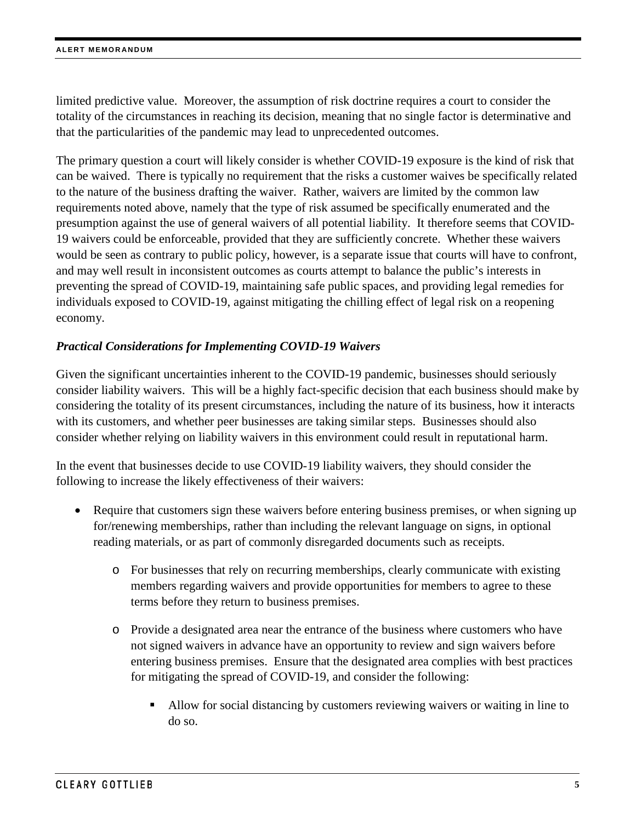limited predictive value. Moreover, the assumption of risk doctrine requires a court to consider the totality of the circumstances in reaching its decision, meaning that no single factor is determinative and that the particularities of the pandemic may lead to unprecedented outcomes.

The primary question a court will likely consider is whether COVID-19 exposure is the kind of risk that can be waived. There is typically no requirement that the risks a customer waives be specifically related to the nature of the business drafting the waiver. Rather, waivers are limited by the common law requirements noted above, namely that the type of risk assumed be specifically enumerated and the presumption against the use of general waivers of all potential liability. It therefore seems that COVID-19 waivers could be enforceable, provided that they are sufficiently concrete. Whether these waivers would be seen as contrary to public policy, however, is a separate issue that courts will have to confront, and may well result in inconsistent outcomes as courts attempt to balance the public's interests in preventing the spread of COVID-19, maintaining safe public spaces, and providing legal remedies for individuals exposed to COVID-19, against mitigating the chilling effect of legal risk on a reopening economy.

#### *Practical Considerations for Implementing COVID-19 Waivers*

Given the significant uncertainties inherent to the COVID-19 pandemic, businesses should seriously consider liability waivers. This will be a highly fact-specific decision that each business should make by considering the totality of its present circumstances, including the nature of its business, how it interacts with its customers, and whether peer businesses are taking similar steps. Businesses should also consider whether relying on liability waivers in this environment could result in reputational harm.

In the event that businesses decide to use COVID-19 liability waivers, they should consider the following to increase the likely effectiveness of their waivers:

- Require that customers sign these waivers before entering business premises, or when signing up for/renewing memberships, rather than including the relevant language on signs, in optional reading materials, or as part of commonly disregarded documents such as receipts.
	- o For businesses that rely on recurring memberships, clearly communicate with existing members regarding waivers and provide opportunities for members to agree to these terms before they return to business premises.
	- o Provide a designated area near the entrance of the business where customers who have not signed waivers in advance have an opportunity to review and sign waivers before entering business premises. Ensure that the designated area complies with best practices for mitigating the spread of COVID-19, and consider the following:
		- Allow for social distancing by customers reviewing waivers or waiting in line to do so.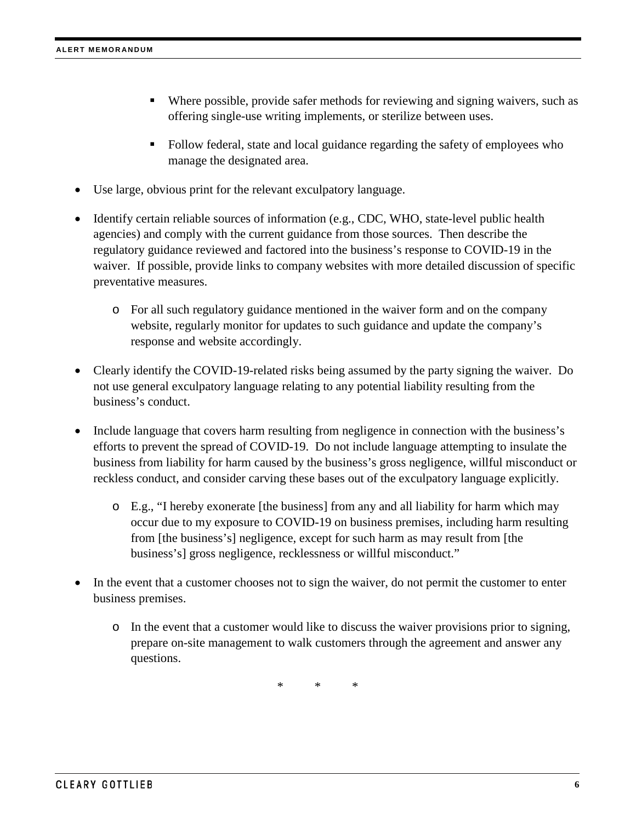- Where possible, provide safer methods for reviewing and signing waivers, such as offering single-use writing implements, or sterilize between uses.
- Follow federal, state and local guidance regarding the safety of employees who manage the designated area.
- Use large, obvious print for the relevant exculpatory language.
- Identify certain reliable sources of information (e.g., CDC, WHO, state-level public health agencies) and comply with the current guidance from those sources. Then describe the regulatory guidance reviewed and factored into the business's response to COVID-19 in the waiver. If possible, provide links to company websites with more detailed discussion of specific preventative measures.
	- o For all such regulatory guidance mentioned in the waiver form and on the company website, regularly monitor for updates to such guidance and update the company's response and website accordingly.
- Clearly identify the COVID-19-related risks being assumed by the party signing the waiver. Do not use general exculpatory language relating to any potential liability resulting from the business's conduct.
- Include language that covers harm resulting from negligence in connection with the business's efforts to prevent the spread of COVID-19. Do not include language attempting to insulate the business from liability for harm caused by the business's gross negligence, willful misconduct or reckless conduct, and consider carving these bases out of the exculpatory language explicitly.
	- o E.g., "I hereby exonerate [the business] from any and all liability for harm which may occur due to my exposure to COVID-19 on business premises, including harm resulting from [the business's] negligence, except for such harm as may result from [the business's] gross negligence, recklessness or willful misconduct."
- In the event that a customer chooses not to sign the waiver, do not permit the customer to enter business premises.
	- o In the event that a customer would like to discuss the waiver provisions prior to signing, prepare on-site management to walk customers through the agreement and answer any questions.

\* \* \*